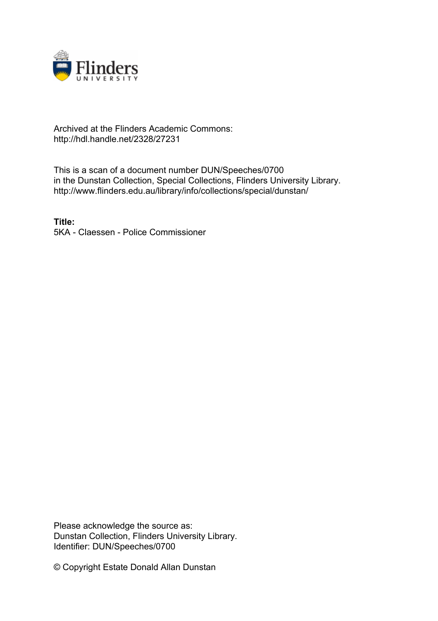

## Archived at the Flinders Academic Commons: http://hdl.handle.net/2328/27231

This is a scan of a document number DUN/Speeches/0700 in the Dunstan Collection, Special Collections, Flinders University Library. http://www.flinders.edu.au/library/info/collections/special/dunstan/

**Title:** 5KA - Claessen - Police Commissioner

Please acknowledge the source as: Dunstan Collection, Flinders University Library. Identifier: DUN/Speeches/0700

© Copyright Estate Donald Allan Dunstan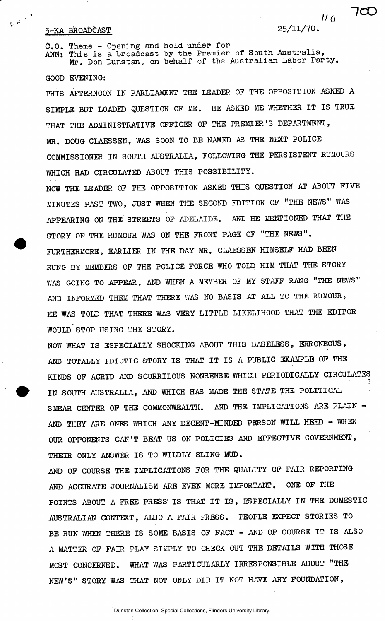## 5-KA BROADCAST 25/11/70 .

 $\frac{1}{4\epsilon}\left|\psi^{\left(1-\frac{\epsilon}{2}\right)}\right|^{2}$ 

 $110^{-7}$ 

700

C.O. Theme - Opening and hold under for ANN: This is a broadcast by the Premier of South Australia,  $Mr$ . Don Dunstan, on behalf of the Australian Labor Farty.

GOOD EVENING:

THIS AFTERNOON IN PARLIAMENT THE LEADER OP THE OPPOSITION ASKED A SIMPLE BUT LOADED QUESTION OP ME. HE ASKED ME WHETHER IT IS TRUE THAT THE ADMINISTRATIVE OFFICER OF THE PREMIER'S DEPARTMENT, MR. DOUG CLAESSEN, WAS SOON TO BE NAMED AS THE NEXT POLICE COMMISSIONER IN SOUTH AUSTRALIA, FOLLOWING THE PERSISTENT RUMOURS WHICH HAD CIRCULATED ABOUT THIS POSSIBILITY.

NOW THE LEADER OF THE OPPOSITION ASKED THIS QUESTION AT ABOUT FIVE MINUTES PAST TWO, JUST WHEN THE SECOND EDITION OF "THE NEWS" WAS APPEARING ON THE STREETS OP ADELAIDE. AND HE MENTIONED THAT THE STORY OF THE RUMOUR WAS ON THE FRONT PAGE OF "THE NEWS". FURTHERMORE, EARLIER IN THE DAY MR. CLAESSEN HIMSELF HAD BEEN RUNG BY MEMBERS OF THE POLICE FORCE WHO TOLD HIM THAT THE STORY WAS GOING TO APPEAR, AND WHEN A MEMBER OF MY STAFF RANG "THE NEWS" AND INFORMED THEM THAT THERE WAS NO BASIS AT ALL TO THE RUMOUR, HE WAS TOLD THAT THERE WAS VERY LITTLE LIKELIHOOD THAT THE EDITOR WOULD STOP USING THE STORY.

NOW WHAT IS ESPECIALLY SHOCKING ABOUT THIS BASELESS, ERRONEOUS, AND TOTALLY IDIOTIC STORY IS THAT IT IS A PUBLIC EXAMPLE OF THE KINDS OF ACRID AND SCURRILOUS NONSENSE WHICH PERIODICALLY CIRCULATES IN SOUTH AUSTRALIA, AND WHICH HAS MADE THE STATE THE POLITICAL SMEAR CENTER OF THE COMMONWEALTH. AND THE IMPLICATIONS ARE PLAIN -AND THEY ARE ONES WHICH ANY DECENT-MINDED PERSON WILL HEED - WHEN OUR OPPONENTS CAN'T BEAT US ON POLICIES AND EFFECTIVE GOVERNMENT, THEIR ONLY ANSWER IS TO WILDLY SLING MUD.

AND OF COURSE THE IMPLICATIONS FOR THE QUALITY OF FAIR REPORTING AND ACCURATE JOURNALISM ARE EVEN MORE IMPORTANT. ONE OF THE POINTS ABOUT A FREE PRESS IS THAT IT IS, ESPECIALLY IN THE DOMESTIC AUSTRALIAN CONTEXT, ALSO A FAIR PRESS. PEOPLE EXPECT STORIES TO BE RUN WHEN THERE IS SOME BASIS OF FACT - AND OF COURSE IT IS ALSO A MATTER OF FAIR PLAY SIMPLY TO CHECK OUT THE DETAILS WITH THOSE MOST CONCERNED. WHAT WAS PARTICULARLY IRRESPONSIBLE ABOUT "THE NEW'S" STORY WAS THAT NOT ONLY DID IT NOT HAVE ANY FOUNDATION,